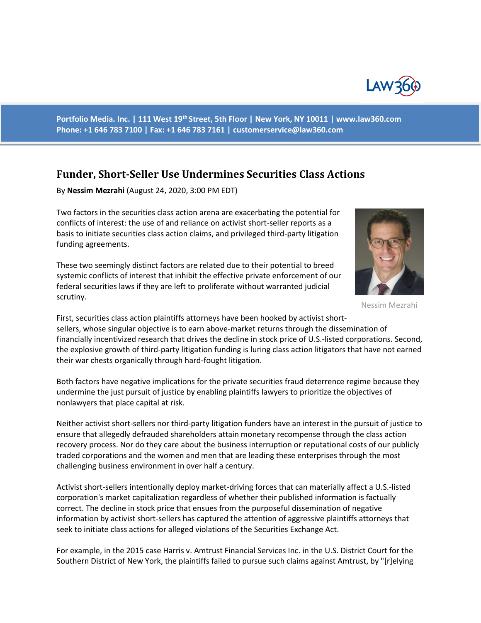

**Portfolio Media. Inc. | 111 West 19th Street, 5th Floor | New York, NY 10011 | www.law360.com Phone: +1 646 783 7100 | Fax: +1 646 783 7161 | customerservice@law360.com**

## **Funder, Short-Seller Use Undermines Securities Class Actions**

By **Nessim Mezrahi** (August 24, 2020, 3:00 PM EDT)

Two factors in the securities class action arena are exacerbating the potential for conflicts of interest: the use of and reliance on activist short-seller reports as a basis to initiate securities class action claims, and privileged third-party litigation funding agreements.

These two seemingly distinct factors are related due to their potential to breed systemic conflicts of interest that inhibit the effective private enforcement of our federal securities laws if they are left to proliferate without warranted judicial scrutiny.



Nessim Mezrahi

First, securities class action plaintiffs attorneys have been hooked by activist shortsellers, whose singular objective is to earn above-market returns through the dissemination of financially incentivized research that drives the decline in stock price of U.S.-listed corporations. Second, the explosive growth of third-party litigation funding is luring class action litigators that have not earned their war chests organically through hard-fought litigation.

Both factors have negative implications for the private securities fraud deterrence regime because they undermine the just pursuit of justice by enabling plaintiffs lawyers to prioritize the objectives of nonlawyers that place capital at risk.

Neither activist short-sellers nor third-party litigation funders have an interest in the pursuit of justice to ensure that allegedly defrauded shareholders attain monetary recompense through the class action recovery process. Nor do they care about the business interruption or reputational costs of our publicly traded corporations and the women and men that are leading these enterprises through the most challenging business environment in over half a century.

Activist short-sellers intentionally deploy market-driving forces that can materially affect a U.S.-listed corporation's market capitalization regardless of whether their published information is factually correct. The decline in stock price that ensues from the purposeful dissemination of negative information by activist short-sellers has captured the attention of aggressive plaintiffs attorneys that seek to initiate class actions for alleged violations of the Securities Exchange Act.

For example, in the 2015 case Harris v. Amtrust Financial Services Inc. in the U.S. District Court for the Southern District of New York, the plaintiffs failed to pursue such claims against Amtrust, by "[r]elying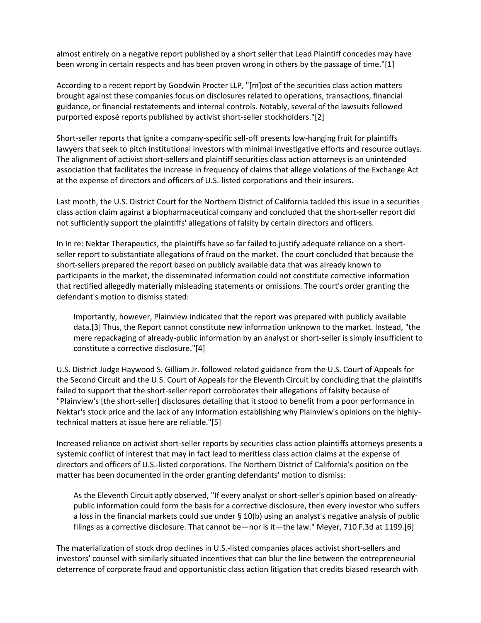almost entirely on a negative report published by a short seller that Lead Plaintiff concedes may have been wrong in certain respects and has been proven wrong in others by the passage of time."[1]

According to a recent report by Goodwin Procter LLP, "[m]ost of the securities class action matters brought against these companies focus on disclosures related to operations, transactions, financial guidance, or financial restatements and internal controls. Notably, several of the lawsuits followed purported exposé reports published by activist short-seller stockholders."[2]

Short-seller reports that ignite a company-specific sell-off presents low-hanging fruit for plaintiffs lawyers that seek to pitch institutional investors with minimal investigative efforts and resource outlays. The alignment of activist short-sellers and plaintiff securities class action attorneys is an unintended association that facilitates the increase in frequency of claims that allege violations of the Exchange Act at the expense of directors and officers of U.S.-listed corporations and their insurers.

Last month, the U.S. District Court for the Northern District of California tackled this issue in a securities class action claim against a biopharmaceutical company and concluded that the short-seller report did not sufficiently support the plaintiffs' allegations of falsity by certain directors and officers.

In In re: Nektar Therapeutics, the plaintiffs have so far failed to justify adequate reliance on a shortseller report to substantiate allegations of fraud on the market. The court concluded that because the short-sellers prepared the report based on publicly available data that was already known to participants in the market, the disseminated information could not constitute corrective information that rectified allegedly materially misleading statements or omissions. The court's order granting the defendant's motion to dismiss stated:

Importantly, however, Plainview indicated that the report was prepared with publicly available data.[3] Thus, the Report cannot constitute new information unknown to the market. Instead, "the mere repackaging of already-public information by an analyst or short-seller is simply insufficient to constitute a corrective disclosure."[4]

U.S. District Judge Haywood S. Gilliam Jr. followed related guidance from the U.S. Court of Appeals for the Second Circuit and the U.S. Court of Appeals for the Eleventh Circuit by concluding that the plaintiffs failed to support that the short-seller report corroborates their allegations of falsity because of "Plainview's [the short-seller] disclosures detailing that it stood to benefit from a poor performance in Nektar's stock price and the lack of any information establishing why Plainview's opinions on the highlytechnical matters at issue here are reliable."[5]

Increased reliance on activist short-seller reports by securities class action plaintiffs attorneys presents a systemic conflict of interest that may in fact lead to meritless class action claims at the expense of directors and officers of U.S.-listed corporations. The Northern District of California's position on the matter has been documented in the order granting defendants' motion to dismiss:

As the Eleventh Circuit aptly observed, "If every analyst or short-seller's opinion based on alreadypublic information could form the basis for a corrective disclosure, then every investor who suffers a loss in the financial markets could sue under § 10(b) using an analyst's negative analysis of public filings as a corrective disclosure. That cannot be—nor is it—the law." Meyer, 710 F.3d at 1199.[6]

The materialization of stock drop declines in U.S.-listed companies places activist short-sellers and investors' counsel with similarly situated incentives that can blur the line between the entrepreneurial deterrence of corporate fraud and opportunistic class action litigation that credits biased research with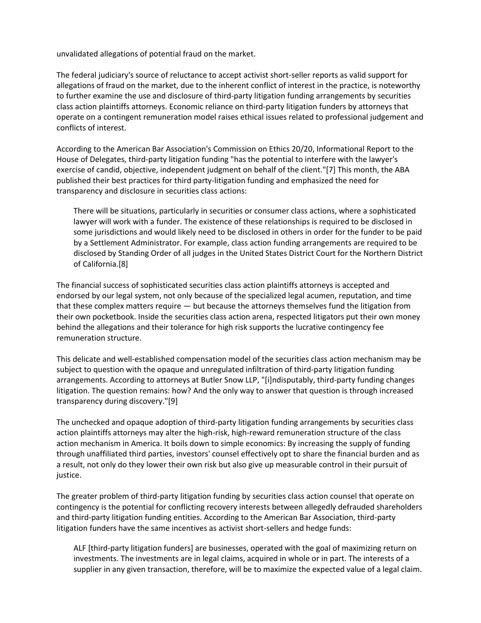unvalidated allegations of potential fraud on the market.

The federal judiciary's source of reluctance to accept activist short-seller reports as valid support for allegations of fraud on the market, due to the inherent conflict of interest in the practice, is noteworthy to further examine the use and disclosure of third-party litigation funding arrangements by securities class action plaintiffs attorneys. Economic reliance on third-party litigation funders by attorneys that operate on a contingent remuneration model raises ethical issues related to professional judgement and conflicts of interest.

According to the American Bar Association's Commission on Ethics 20/20, Informational Report to the House of Delegates, third-party litigation funding "has the potential to interfere with the lawyer's exercise of candid, objective, independent judgment on behalf of the client."[7] This month, the ABA published their best practices for third party-litigation funding and emphasized the need for transparency and disclosure in securities class actions:

There will be situations, particularly in securities or consumer class actions, where a sophisticated lawyer will work with a funder. The existence of these relationships is required to be disclosed in some jurisdictions and would likely need to be disclosed in others in order for the funder to be paid by a Settlement Administrator. For example, class action funding arrangements are required to be disclosed by Standing Order of all judges in the United States District Court for the Northern District of California.[8]

The financial success of sophisticated securities class action plaintiffs attorneys is accepted and endorsed by our legal system, not only because of the specialized legal acumen, reputation, and time that these complex matters require — but because the attorneys themselves fund the litigation from their own pocketbook. Inside the securities class action arena, respected litigators put their own money behind the allegations and their tolerance for high risk supports the lucrative contingency fee remuneration structure.

This delicate and well-established compensation model of the securities class action mechanism may be subject to question with the opaque and unregulated infiltration of third-party litigation funding arrangements. According to attorneys at Butler Snow LLP, "[i]ndisputably, third-party funding changes litigation. The question remains: how? And the only way to answer that question is through increased transparency during discovery."[9]

The unchecked and opaque adoption of third-party litigation funding arrangements by securities class action plaintiffs attorneys may alter the high-risk, high-reward remuneration structure of the class action mechanism in America. It boils down to simple economics: By increasing the supply of funding through unaffiliated third parties, investors' counsel effectively opt to share the financial burden and as a result, not only do they lower their own risk but also give up measurable control in their pursuit of justice.

The greater problem of third-party litigation funding by securities class action counsel that operate on contingency is the potential for conflicting recovery interests between allegedly defrauded shareholders and third-party litigation funding entities. According to the American Bar Association, third-party litigation funders have the same incentives as activist short-sellers and hedge funds:

ALF [third-party litigation funders] are businesses, operated with the goal of maximizing return on investments. The investments are in legal claims, acquired in whole or in part. The interests of a supplier in any given transaction, therefore, will be to maximize the expected value of a legal claim.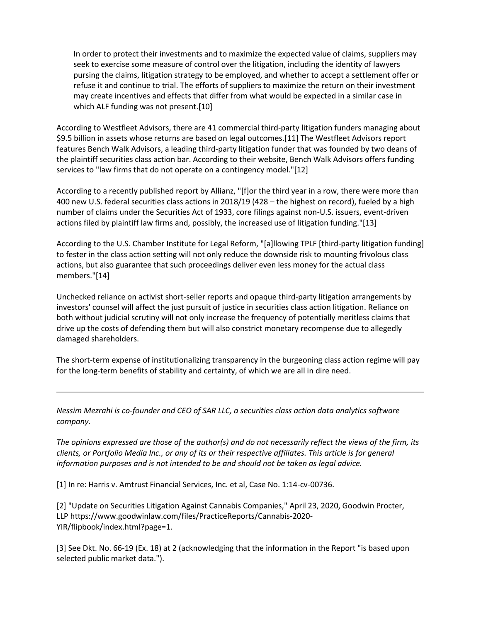In order to protect their investments and to maximize the expected value of claims, suppliers may seek to exercise some measure of control over the litigation, including the identity of lawyers pursing the claims, litigation strategy to be employed, and whether to accept a settlement offer or refuse it and continue to trial. The efforts of suppliers to maximize the return on their investment may create incentives and effects that differ from what would be expected in a similar case in which ALF funding was not present.[10]

According to Westfleet Advisors, there are 41 commercial third-party litigation funders managing about \$9.5 billion in assets whose returns are based on legal outcomes.[11] The Westfleet Advisors report features Bench Walk Advisors, a leading third-party litigation funder that was founded by two deans of the plaintiff securities class action bar. According to their website, Bench Walk Advisors offers funding services to "law firms that do not operate on a contingency model."[12]

According to a recently published report by Allianz, "[f]or the third year in a row, there were more than 400 new U.S. federal securities class actions in 2018/19 (428 – the highest on record), fueled by a high number of claims under the Securities Act of 1933, core filings against non-U.S. issuers, event-driven actions filed by plaintiff law firms and, possibly, the increased use of litigation funding."[13]

According to the U.S. Chamber Institute for Legal Reform, "[a]llowing TPLF [third-party litigation funding] to fester in the class action setting will not only reduce the downside risk to mounting frivolous class actions, but also guarantee that such proceedings deliver even less money for the actual class members."[14]

Unchecked reliance on activist short-seller reports and opaque third-party litigation arrangements by investors' counsel will affect the just pursuit of justice in securities class action litigation. Reliance on both without judicial scrutiny will not only increase the frequency of potentially meritless claims that drive up the costs of defending them but will also constrict monetary recompense due to allegedly damaged shareholders.

The short-term expense of institutionalizing transparency in the burgeoning class action regime will pay for the long-term benefits of stability and certainty, of which we are all in dire need.

*Nessim Mezrahi is co-founder and CEO of SAR LLC, a securities class action data analytics software company.*

*The opinions expressed are those of the author(s) and do not necessarily reflect the views of the firm, its clients, or Portfolio Media Inc., or any of its or their respective affiliates. This article is for general information purposes and is not intended to be and should not be taken as legal advice.*

[1] In re: Harris v. Amtrust Financial Services, Inc. et al, Case No. 1:14-cv-00736.

[2] "Update on Securities Litigation Against Cannabis Companies," April 23, 2020, Goodwin Procter, LLP https://www.goodwinlaw.com/files/PracticeReports/Cannabis-2020- YIR/flipbook/index.html?page=1.

[3] See Dkt. No. 66-19 (Ex. 18) at 2 (acknowledging that the information in the Report "is based upon selected public market data.").